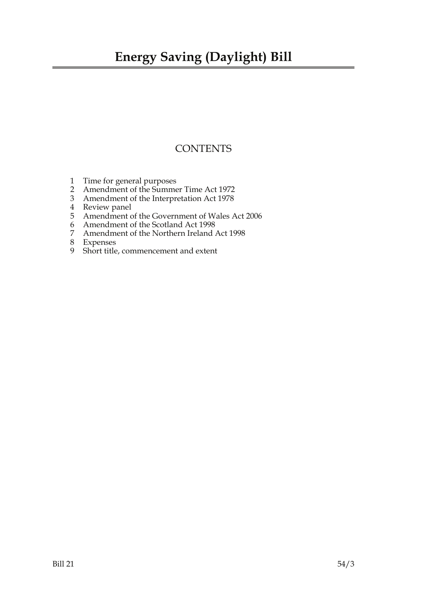## **Energy Saving (Daylight) Bill**

### **CONTENTS**

- 1 Time for general purposes
- 2 Amendment of the Summer Time Act 1972
- 3 Amendment of the Interpretation Act 1978
- 4 Review panel
- 5 Amendment of the Government of Wales Act 2006
- 6 Amendment of the Scotland Act 1998<br>7 Amendment of the Northern Ireland
- 7 Amendment of the Northern Ireland Act 1998
- 8 Expenses
- 9 Short title, commencement and extent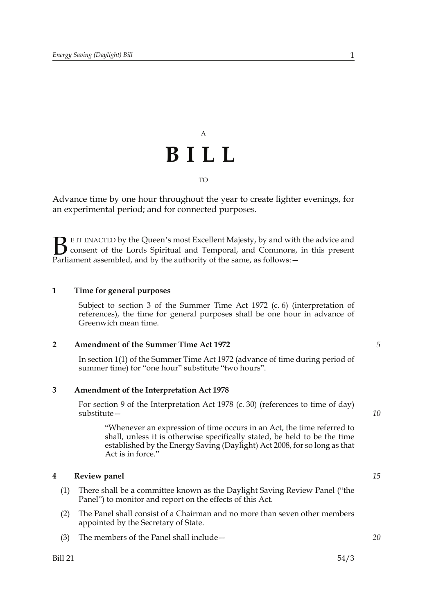# A **BILL** TO

Advance time by one hour throughout the year to create lighter evenings, for an experimental period; and for connected purposes.

E IT ENACTED by the Queen's most Excellent Majesty, by and with the advice and consent of the Lords Spiritual and Temporal, and Commons, in this present **B** E IT ENACTED by the Queen's most Excellent Majesty, by and with consent of the Lords Spiritual and Temporal, and Commons, Parliament assembled, and by the authority of the same, as follows:  $-$ 

#### **1 Time for general purposes**

Subject to section 3 of the Summer Time Act 1972 (c. 6) (interpretation of references), the time for general purposes shall be one hour in advance of Greenwich mean time.

#### **2 Amendment of the Summer Time Act 1972**

In section 1(1) of the Summer Time Act 1972 (advance of time during period of summer time) for "one hour" substitute "two hours".

#### **3 Amendment of the Interpretation Act 1978**

For section 9 of the Interpretation Act 1978 (c. 30) (references to time of day) substitute—

"Whenever an expression of time occurs in an Act, the time referred to shall, unless it is otherwise specifically stated, be held to be the time established by the Energy Saving (Daylight) Act 2008, for so long as that Act is in force."

#### **4 Review panel**

- (1) There shall be a committee known as the Daylight Saving Review Panel ("the Panel") to monitor and report on the effects of this Act.
- (2) The Panel shall consist of a Chairman and no more than seven other members appointed by the Secretary of State.
- (3) The members of the Panel shall include—

*10*

*5*

*15*

*20*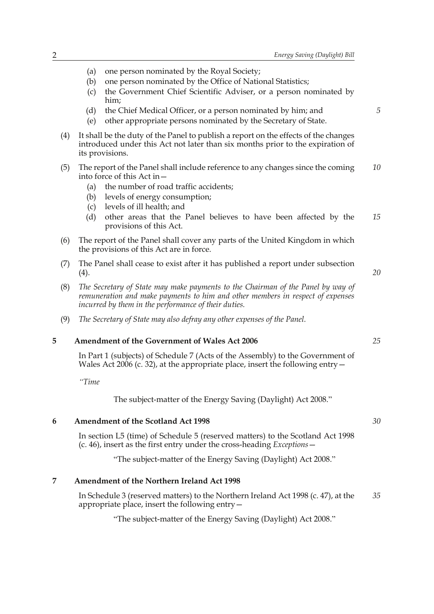- (a) one person nominated by the Royal Society;
- (b) one person nominated by the Office of National Statistics;
- (c) the Government Chief Scientific Adviser, or a person nominated by him;
- (d) the Chief Medical Officer, or a person nominated by him; and
- (e) other appropriate persons nominated by the Secretary of State.
- (4) It shall be the duty of the Panel to publish a report on the effects of the changes introduced under this Act not later than six months prior to the expiration of its provisions.
- (5) The report of the Panel shall include reference to any changes since the coming into force of this Act in— *10*
	- (a) the number of road traffic accidents;
	- (b) levels of energy consumption;
	- (c) levels of ill health; and
	- (d) other areas that the Panel believes to have been affected by the provisions of this Act. *15*
- (6) The report of the Panel shall cover any parts of the United Kingdom in which the provisions of this Act are in force.
- (7) The Panel shall cease to exist after it has published a report under subsection  $(4).$
- (8) *The Secretary of State may make payments to the Chairman of the Panel by way of remuneration and make payments to him and other members in respect of expenses incurred by them in the performance of their duties.*
- (9) *The Secretary of State may also defray any other expenses of the Panel.*

#### **5 Amendment of the Government of Wales Act 2006**

In Part 1 (subjects) of Schedule 7 (Acts of the Assembly) to the Government of Wales Act 2006 (c. 32), at the appropriate place, insert the following entry  $-$ 

*"Time*

The subject-matter of the Energy Saving (Daylight) Act 2008."

#### **6 Amendment of the Scotland Act 1998**

In section L5 (time) of Schedule 5 (reserved matters) to the Scotland Act 1998 (c. 46), insert as the first entry under the cross-heading *Exceptions*—

"The subject-matter of the Energy Saving (Daylight) Act 2008."

#### **7 Amendment of the Northern Ireland Act 1998**

In Schedule 3 (reserved matters) to the Northern Ireland Act 1998 (c. 47), at the appropriate place, insert the following entry— *35*

"The subject-matter of the Energy Saving (Daylight) Act 2008."

*25*

*20*

*5*

*30*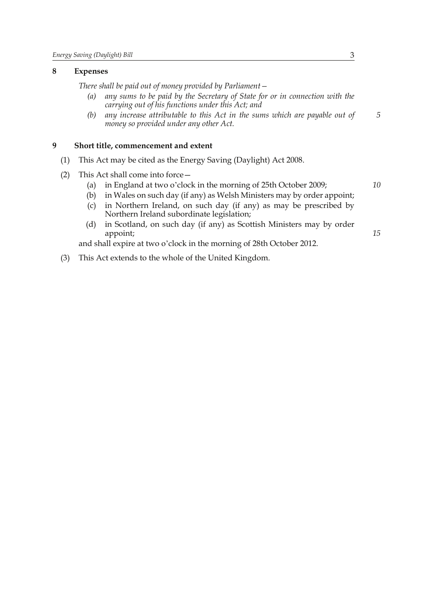#### **8 Expenses**

*There shall be paid out of money provided by Parliament—*

- *(a) any sums to be paid by the Secretary of State for or in connection with the carrying out of his functions under this Act; and*
- *(b) any increase attributable to this Act in the sums which are payable out of money so provided under any other Act.*

#### **9 Short title, commencement and extent**

- (1) This Act may be cited as the Energy Saving (Daylight) Act 2008.
- (2) This Act shall come into force—
	- (a) in England at two o'clock in the morning of 25th October 2009;
	- (b) in Wales on such day (if any) as Welsh Ministers may by order appoint;
	- (c) in Northern Ireland, on such day (if any) as may be prescribed by Northern Ireland subordinate legislation;
	- (d) in Scotland, on such day (if any) as Scottish Ministers may by order appoint;

and shall expire at two o'clock in the morning of 28th October 2012.

(3) This Act extends to the whole of the United Kingdom.

*10*

*15*

*5*